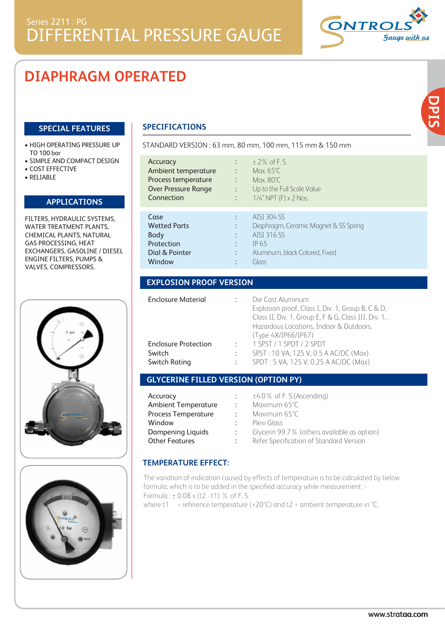# **DIAPHRAGM OPERATED**

### **SPECIAL FEATURES**

- HIGH OPERATING PRESSURE UP TO 100 bar
- SIMPLE AND COMPACT DESIGN
- COST EFFECTIVE
- RELIABLE

### **APPLICATIONS**

FILTERS, HYDRAULIC SYSTEMS, WATER TREATMENT PLANTS. CHEMICAL PLANTS, NATURAL GAS PROCESSING, HEAT EXCHANGERS, GASOLINE / DIESEL ENGINE FILTERS, PUMPS & VALVES, COMPRESSORS.





# **SPECIFICATIONS**

| Accuracy<br>Ambient temperature<br>Process temperature<br><b>Over Pressure Range</b><br>Connection | $+2\%$ of F S<br>Max. $65^{\circ}$ C.<br>$\ddot{\phantom{a}}$<br>Max. $80^{\circ}$ C.<br>$\ddot{\phantom{a}}$<br>Up to the Full Scale Value<br>$\ddot{\phantom{a}}$<br>1/4" NPT (F) x 2 Nos.<br>$\ddot{\cdot}$ |
|----------------------------------------------------------------------------------------------------|----------------------------------------------------------------------------------------------------------------------------------------------------------------------------------------------------------------|
| Case<br><b>Wetted Parts</b><br>Body<br>Protection<br>Dial & Pointer<br>Window                      | AISI 304 SS<br>÷<br>Diaphragm, Ceramic Magnet & SS Spring<br>٠<br>AISI 316 SS<br>٠<br>IP 65<br>٠<br>Aluminum, black Colored, Fixed<br>٠<br>Glass<br>٠                                                          |

STANDARD VERSION : 63 mm, 80 mm, 100 mm, 115 mm & 150 mm

# **EXPLOSION PROOF VERSION**

| <b>Enclosure Material</b>   |                      | Die Cast Aluminum<br>Explosion proof, Class I, Div. 1, Group B, C & D,<br>Class II, Div. 1, Group E, F & G, Class III, Div. 1,<br>Hazardous Locations, Indoor & Outdoors,<br>(Type 4X/IP66/IP67) |
|-----------------------------|----------------------|--------------------------------------------------------------------------------------------------------------------------------------------------------------------------------------------------|
| <b>Enclosure Protection</b> | ٠                    | 1 SPST / 1 SPDT / 2 SPDT                                                                                                                                                                         |
| Switch                      |                      | SPST: 10 VA, 125 V, 0.5 A AC/DC (Max)                                                                                                                                                            |
| Switch Rating               | $\ddot{\phantom{a}}$ | SPDT: 5 VA, 125 V, 0.25 A AC/DC (Max)                                                                                                                                                            |

# **GLYCERINE FILLED VERSION (OPTION PY)**

| Accuracy                                     | $±4.0$ % of F. S.(Ascending)                 |  |
|----------------------------------------------|----------------------------------------------|--|
| <b>Ambient Temperature</b><br>÷              | Maximum 65°C                                 |  |
| <b>Process Temperature</b><br>$\mathbb{R}^n$ | Maximum 65°C                                 |  |
| Window                                       | Plexi Glass                                  |  |
| Dampening Liquids                            | Glycerin 99.7 % (others available as option) |  |
| <b>Other Features</b>                        | Refer Specification of Standard Version      |  |

### **TEMPERATURE EFFECT:**

The variation of indication caused by effects of temperature is to be calculated by below formula; which is to be added in the specified accuracy while measurement :- Formula : ± 0.08 x (t2 - t1) % of F. S.

where t1 = reference temperature  $(+20^{\circ}C)$  and t2 = ambient temperature in  $^{\circ}C$ .

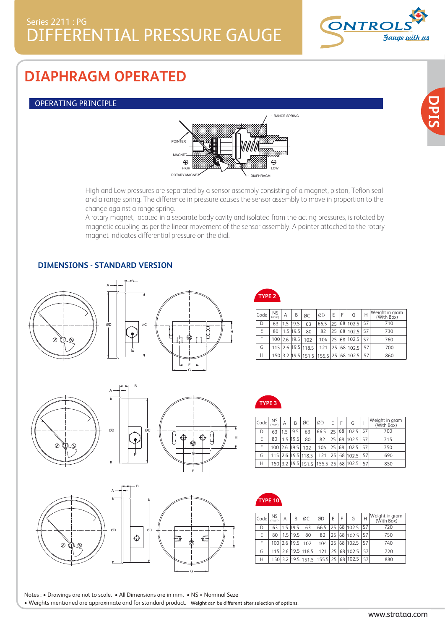

# **DIAPHRAGM OPERATED**

### OPERATING PRINCIPLE



High and Low pressures are separated by a sensor assembly consisting of a magnet, piston, Teflon seal and a range spring. The difference in pressure causes the sensor assembly to move in proportion to the change against a range spring.

A rotary magnet, located in a separate body cavity and isolated from the acting pressures, is rotated by magnetic coupling as per the linear movement of the sensor assembly. A pointer attached to the rotary magnet indicates differential pressure on the dial.

### **DIMENSIONS - STANDARD VERSION**







F

G







**TYPE 2**

| Code | NS.<br>(mm) | Α   | B            | ØC                                   | ØD   | F  | F | G               | Н                | Weight in gram<br>(With Box) |
|------|-------------|-----|--------------|--------------------------------------|------|----|---|-----------------|------------------|------------------------------|
| D    | 63          | 1.5 | 19.5         | 63                                   | 66.5 |    |   | $25\,$ 68 102.5 | 57               | 710                          |
| F    | 80          |     | $1.5$ 19.5   | 80                                   | 82   | 25 |   | 68 102.5        | 57               | 730                          |
| F    |             |     | 100 2.6 19.5 | 102                                  | 104  |    |   | 25 68 102.5     | 57               | 760                          |
| G    |             |     |              | 115 2.6 19.5 118.5                   |      |    |   | 121 25 68 102.5 | 157 <sup>1</sup> | 700                          |
| Н    |             |     |              | 150 3.2 19.5 151.5 155.5 25 68 102.5 |      |    |   |                 | $-157$           | 860                          |



H

| Code | <b>NS</b><br>(mm) | Α   | B            | ØC                                      | ØD   | E | F. | G                  | Н  | Weight in gram<br>(With Box) |
|------|-------------------|-----|--------------|-----------------------------------------|------|---|----|--------------------|----|------------------------------|
| D    | 63                | 1.5 | 19.5         | 63                                      | 66.5 |   |    | 25 68 102.5 57     |    | 700                          |
| F    | 80                |     | $1.5$ 19.5   | 80                                      | 82   |   |    | 25 68 102.5 57     |    | 715                          |
| F    |                   |     | 100 2.6 19.5 | 102                                     | 104  |   |    | 25 68 102.5        | 57 | 750                          |
| G    |                   |     |              | 115 2.6 19.5 118.5                      |      |   |    | 121 25 68 102.5 57 |    | 690                          |
| Н    |                   |     |              | 150 3.2 19.5 151.5 155.5 25 68 102.5 57 |      |   |    |                    |    | 850                          |



| Code <sup>1</sup> | NS.<br>(mm) | Α   | B            | ØC                                   | ØD   | F  | F | G           | Н  | Weight in gram<br>(With Box) |
|-------------------|-------------|-----|--------------|--------------------------------------|------|----|---|-------------|----|------------------------------|
| D                 | 63          | 1.5 | 19.5         | 63                                   | 66.5 | 25 |   | 68 102.5    | 57 | 720                          |
| F                 | 80          |     | $1.5$ 19.5   | 80                                   | 82   | 25 |   | 68 102.5    | 57 | 750                          |
| F                 |             |     | 100 2.6 19.5 | 102                                  | 104  |    |   | 25 68 102.5 | 57 | 740                          |
| G                 | 115         |     |              | 2.6 19.5 118.5                       | 121  |    |   | 25 68 102.5 | 57 | 720                          |
| Н                 |             |     |              | 150 3.2 19.5 151.5 155.5 25 68 102.5 |      |    |   |             | 57 | 880                          |

Notes : • Drawings are not to scale. • All Dimensions are in mm. • NS = Nominal Seze • Weights mentioned are approximate and for standard product.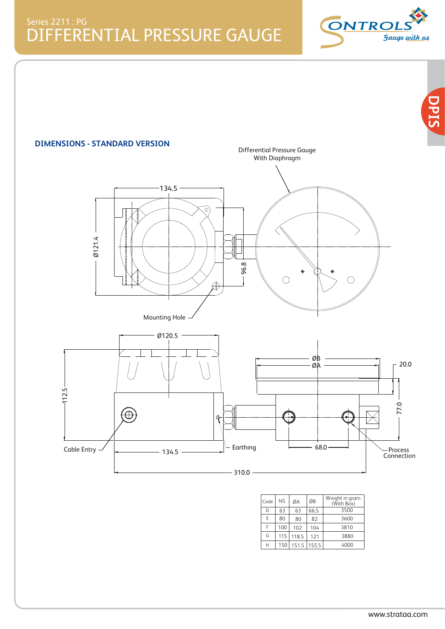DIFFERENTIAL PRESSURE GAUGE Series 2211 : PG





| Code | <b>NS</b> | ØA    | ØB    | Weight in gram<br>(With Box) |
|------|-----------|-------|-------|------------------------------|
| D    | 63        | 63    | 66.5  | 3500                         |
| F    | 80        | 80    | 82    | 3600                         |
| F    | 100       | 102   | 104   | 3810                         |
| G    | 115       | 118.5 | 121   | 3880                         |
| Н    | 150       | 151.5 | 155.5 | 4000                         |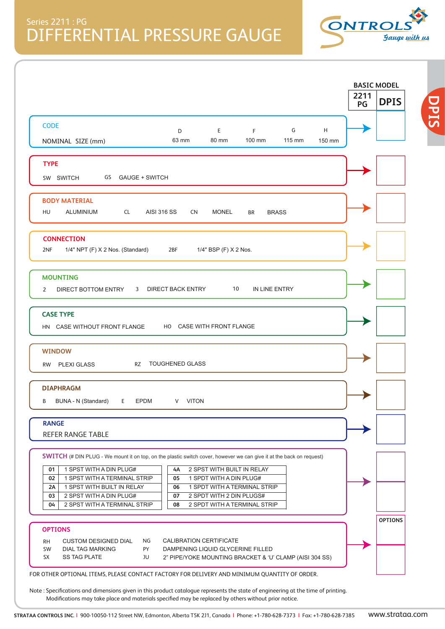

**DPIS**